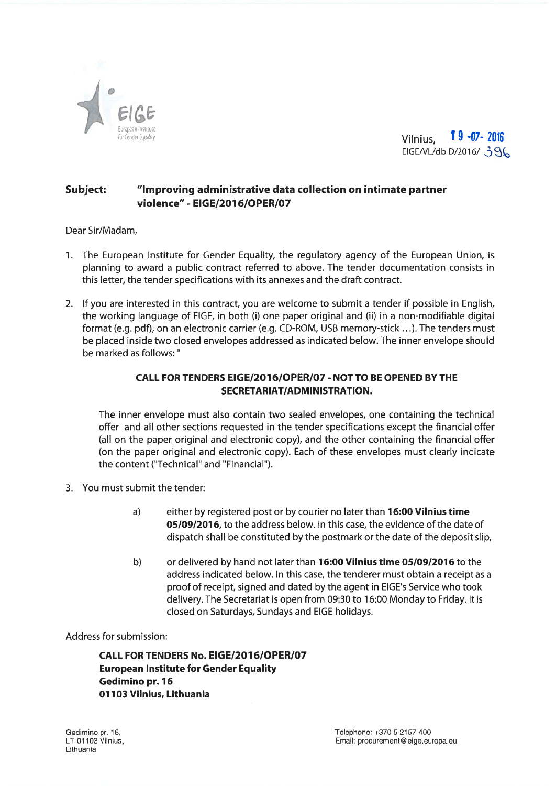



## Subject: "Improving administrative data collection on intimate partner violence" - EIGE/20J6/OPER/07

Dear Sir/Madam,

- 1. The European Institute for Gender Equality, the regulatory agency of the European Union, is planning to award <sup>a</sup> public contract referred to above. The tender documentation consists in this letter, the tender specifications with its annexes and the draft contract.
- 2. If you are interested in this contract, you are welcome to submit <sup>a</sup> tender if possible in English, the working language of EIGE, in both (i) one paper original and (ii) in <sup>a</sup> non-modifiable digital format (e.g. <sup>p</sup>df), on an electronic carrier (e.g. CD-ROM, USB memory-stick .. .). The tenders must be placed inside two closed envelopes addressed as indicated below. The inner envelope should be marked as follows:"

## CALL FOR TENDERS EIGE/20J 6/OPER/07 - NOT TO BE OPENED BY THE SECRETARIAT/ADMINISTRATION.

The inner envelope must also contain two sealed envelopes, one containing the technical offer and all other sections requested in the tender specifications excep<sup>t</sup> the financial offer (all on the paper original and electronic copy), and the other containing the financial offer (on the paper original and electronic copy). Each of these envelopes must clearly indicate the content ("Technical" and "Financial").

- 3. You must submit the tender:
	- a) either by registered post or by courier no later than **16:00 Vilnius time** 05/09/2016, to the address below. In this case, the evidence of the date of dispatch shall be constituted by the postmark or the date of the deposit slip,
	- b) or delivered by hand not later than 76:00 Vilnius time 05/09/2076 to the address indicated below. In this case, the tenderer must obtain <sup>a</sup> receipt as <sup>a</sup> proof of receipt, signed and dated by the agen<sup>t</sup> in EIGE's Service who took delivery. The Secretariat is open from 09:30 to 76:00 Monday to Friday. It is closed on Saturdays, Sundays and EIGE holidays.

Address for submission:

CALL FOR TENDERS No. EIGE/207 6/OPER/07 European Institute for Gender Equality Gedimino pr. 76 01103 Vilnius, Lithuania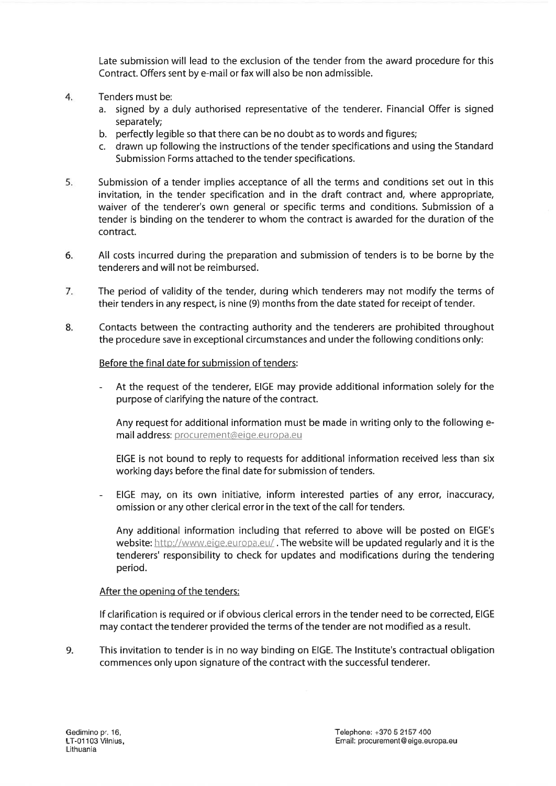Late submission will lead to the exclusion of the tender from the award procedure for this Contract. Offers sent by e-mail or fax will also be non admissible.

- 4. Tenders must be:
	- a. signed by <sup>a</sup> duly authorised representative of the tenderer. Financial Offer is signed separately;
	- b. perfectly legible so that there can be no doubt as to words and figures;
	- c. drawn up following the instructions of the tender specifications and using the Standard Submission Forms attached to the tender specifications.
- 5. Submission of <sup>a</sup> tender implies acceptance of all the terms and conditions set out in this invitation, in the tender specification and in the draft contract and, where appropriate, waiver of the tenderer's own general or specific terms and conditions. Submission of <sup>a</sup> tender is binding on the tenderer to whom the contract is awarded for the duration of the contract.
- 6. All costs incurred during the preparation and submission of tenders is to be borne by the tenderers and will not be reimbursed.
- 7. The period of validity of the tender, during which tenderers may not modify the terms of their tenders in any respect, is nine (9) months from the date stated for receipt of tender.
- 8. Contacts between the contracting authority and the tenderers are prohibited throughout the procedure save in exceptional circumstances and under the following conditions only:

## Before the final date for submission of tenders:

At the request of the tenderer, EIGE may provide additional information solely for the purpose of clarifying the nature of the contract.

Any reques<sup>t</sup> for additional information must be made in writing only to the following <sup>e</sup> mail address: procurement@eige.europa.eu

EIGE is not bound to reply to requests for additional information received less than six working days before the final date for submission of tenders.

EIGE may, on its own initiative, inform interested parties of any error, inaccuracy, omission or any other clerical error in the text of the call for tenders.

Any additional information including that referred to above will be posted on EIGE's website: http://www.eige.europa.eu/. The website will be updated regularly and it is the tenderers' responsibility to check for updates and modifications during the tendering period.

## After the opening of the tenders:

If clarification is required or if obvious clerical errors in the tender need to be corrected, EIGE may contact the tenderer provided the terms of the tender are not modified as <sup>a</sup> result.

9. This invitation to tender is in no way binding on EIGE. The Institute's contractual obligation commences only upon signature of the contract with the successful tenderer.